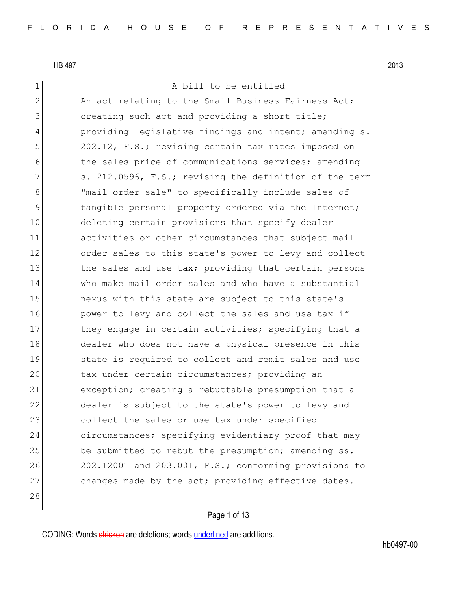28

1 a bill to be entitled

2 An act relating to the Small Business Fairness Act; 3 3 creating such act and providing a short title; 4 providing legislative findings and intent; amending s. 5 202.12, F.S.; revising certain tax rates imposed on 6 the sales price of communications services; amending 7 s. 212.0596, F.S.; revising the definition of the term 8 | Solid Thail order sale" to specifically include sales of 9 10 11 tangible personal property ordered via the Internet; 10 deleting certain provisions that specify dealer 11 activities or other circumstances that subject mail 12 order sales to this state's power to levy and collect 13 the sales and use tax; providing that certain persons 14 who make mail order sales and who have a substantial 15 nexus with this state are subject to this state's 16 **power to levy and collect the sales and use tax if** 17 they engage in certain activities; specifying that a 18 dealer who does not have a physical presence in this 19 State is required to collect and remit sales and use 20 tax under certain circumstances; providing an 21 exception; creating a rebuttable presumption that a 22 dealer is subject to the state's power to levy and 23 collect the sales or use tax under specified 24 circumstances; specifying evidentiary proof that may 25 be submitted to rebut the presumption; amending ss. 26 202.12001 and 203.001, F.S.; conforming provisions to 27 changes made by the act; providing effective dates.

CODING: Words stricken are deletions; words underlined are additions.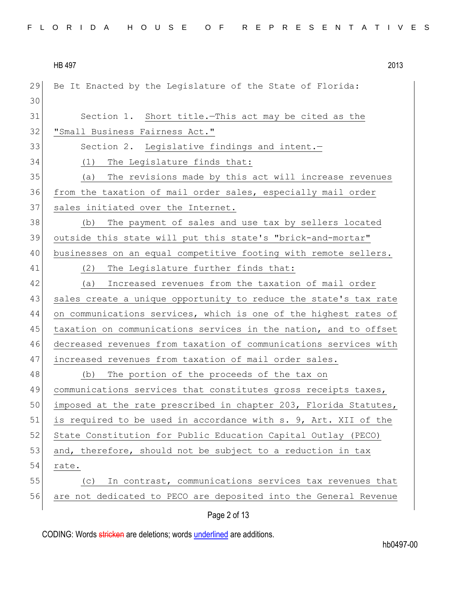| FLORIDA HOUSE OF REPRESENTATIVES |  |
|----------------------------------|--|
|----------------------------------|--|

29 Be It Enacted by the Legislature of the State of Florida: 30 31 Section 1. Short title. This act may be cited as the 32 | "Small Business Fairness Act." 33 Section 2. Legislative findings and intent. 34 (1) The Legislature finds that: 35 (a) The revisions made by this act will increase revenues 36 from the taxation of mail order sales, especially mail order 37 sales initiated over the Internet. 38 (b) The payment of sales and use tax by sellers located 39 outside this state will put this state's "brick-and-mortar" 40 businesses on an equal competitive footing with remote sellers. 41 (2) The Legislature further finds that: 42 (a) Increased revenues from the taxation of mail order 43 sales create a unique opportunity to reduce the state's tax rate 44 on communications services, which is one of the highest rates of 45 taxation on communications services in the nation, and to offset 46 decreased revenues from taxation of communications services with 47 increased revenues from taxation of mail order sales. 48 (b) The portion of the proceeds of the tax on 49 communications services that constitutes gross receipts taxes, 50 imposed at the rate prescribed in chapter 203, Florida Statutes, 51 is required to be used in accordance with s. 9, Art. XII of the 52 State Constitution for Public Education Capital Outlay (PECO) 53 and, therefore, should not be subject to a reduction in tax 54 rate. 55 (c) In contrast, communications services tax revenues that 56 are not dedicated to PECO are deposited into the General Revenue

Page 2 of 13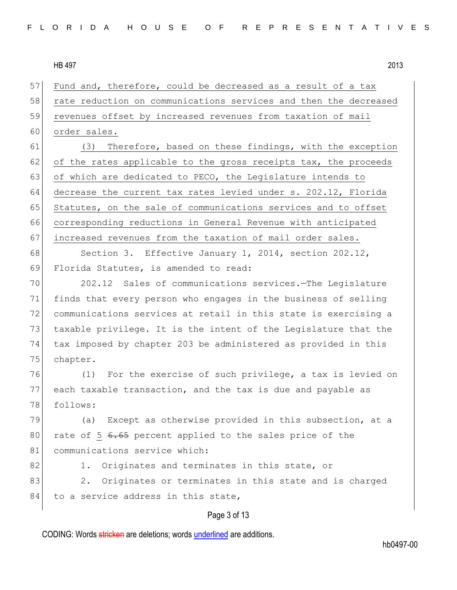57 Fund and, therefore, could be decreased as a result of a tax 58 rate reduction on communications services and then the decreased 59 revenues offset by increased revenues from taxation of mail 60 order sales.

61 (3) Therefore, based on these findings, with the exception  $62$  of the rates applicable to the gross receipts tax, the proceeds 63 of which are dedicated to PECO, the Legislature intends to 64 decrease the current tax rates levied under s. 202.12, Florida 65 Statutes, on the sale of communications services and to offset 66 corresponding reductions in General Revenue with anticipated 67 increased revenues from the taxation of mail order sales.

68 Section 3. Effective January 1, 2014, section 202.12, 69 Florida Statutes, is amended to read:

 202.12 Sales of communications services.—The Legislature finds that every person who engages in the business of selling communications services at retail in this state is exercising a 73 taxable privilege. It is the intent of the Legislature that the tax imposed by chapter 203 be administered as provided in this 75 chapter.

76 (1) For the exercise of such privilege, a tax is levied on 77 each taxable transaction, and the tax is due and payable as 78 follows:

79 (a) Except as otherwise provided in this subsection, at a 80 rate of 5 6.65 percent applied to the sales price of the 81 communications service which:

82 1. Originates and terminates in this state, or

83 2. Originates or terminates in this state and is charged  $84$  to a service address in this state,

## Page 3 of 13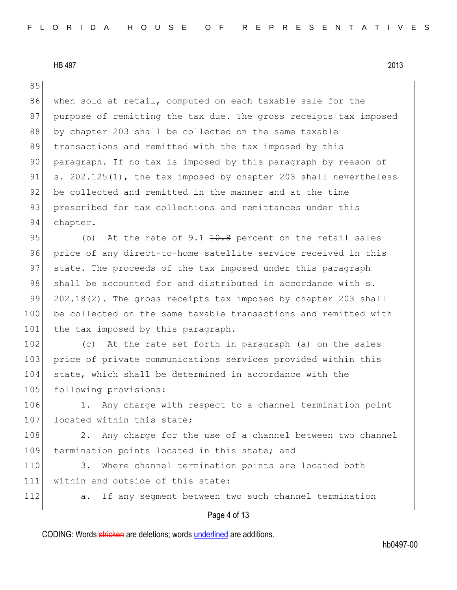Page 4 of 13 85 86 when sold at retail, computed on each taxable sale for the 87 purpose of remitting the tax due. The gross receipts tax imposed 88 by chapter 203 shall be collected on the same taxable 89 transactions and remitted with the tax imposed by this 90 paragraph. If no tax is imposed by this paragraph by reason of 91 s. 202.125(1), the tax imposed by chapter 203 shall nevertheless 92 be collected and remitted in the manner and at the time 93 prescribed for tax collections and remittances under this 94 chapter. 95 (b) At the rate of 9.1  $\pm 0.8$  percent on the retail sales 96 price of any direct-to-home satellite service received in this 97 state. The proceeds of the tax imposed under this paragraph 98 shall be accounted for and distributed in accordance with s. 99  $202.18(2)$ . The gross receipts tax imposed by chapter 203 shall 100 be collected on the same taxable transactions and remitted with 101 the tax imposed by this paragraph. 102 (c) At the rate set forth in paragraph (a) on the sales 103 price of private communications services provided within this 104 state, which shall be determined in accordance with the 105 following provisions: 106 1. Any charge with respect to a channel termination point 107 located within this state; 108 2. Any charge for the use of a channel between two channel 109 termination points located in this state; and 110 3. Where channel termination points are located both 111 within and outside of this state: 112 a. If any segment between two such channel termination

CODING: Words stricken are deletions; words underlined are additions.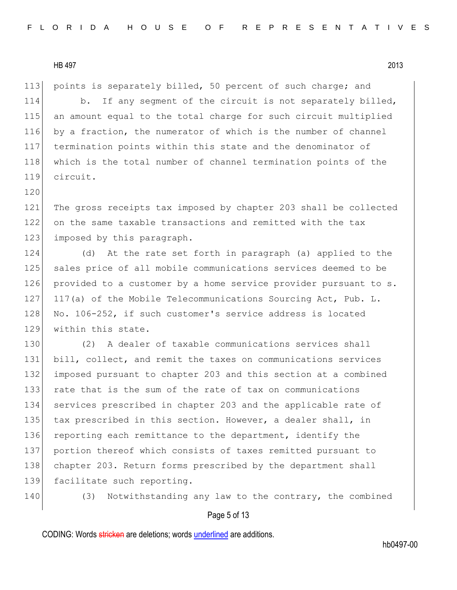120

113 points is separately billed, 50 percent of such charge; and 114 b. If any segment of the circuit is not separately billed, 115 an amount equal to the total charge for such circuit multiplied 116 by a fraction, the numerator of which is the number of channel 117 termination points within this state and the denominator of 118 which is the total number of channel termination points of the 119 circuit.

121 The gross receipts tax imposed by chapter 203 shall be collected 122 on the same taxable transactions and remitted with the tax 123 imposed by this paragraph.

124 (d) At the rate set forth in paragraph (a) applied to the 125 sales price of all mobile communications services deemed to be 126 provided to a customer by a home service provider pursuant to s. 127 117(a) of the Mobile Telecommunications Sourcing Act, Pub. L. 128 No. 106-252, if such customer's service address is located 129 within this state.

130 (2) A dealer of taxable communications services shall 131 bill, collect, and remit the taxes on communications services 132 imposed pursuant to chapter 203 and this section at a combined 133 rate that is the sum of the rate of tax on communications 134 services prescribed in chapter 203 and the applicable rate of 135 tax prescribed in this section. However, a dealer shall, in 136 reporting each remittance to the department, identify the 137 portion thereof which consists of taxes remitted pursuant to 138 chapter 203. Return forms prescribed by the department shall 139 facilitate such reporting.

140 (3) Notwithstanding any law to the contrary, the combined

# Page 5 of 13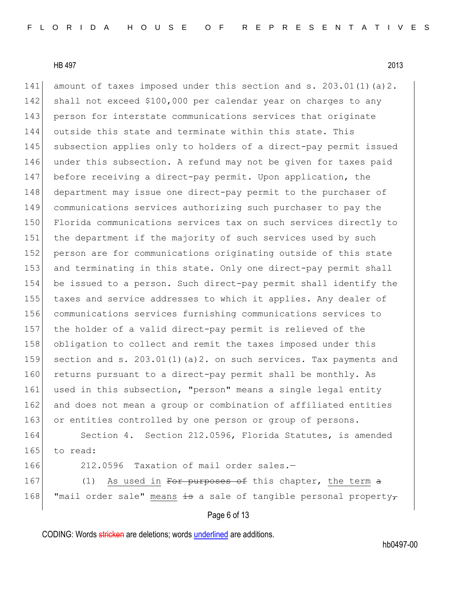141 amount of taxes imposed under this section and s. 203.01(1)(a)2. 142 shall not exceed \$100,000 per calendar year on charges to any 143 person for interstate communications services that originate 144 outside this state and terminate within this state. This 145 subsection applies only to holders of a direct-pay permit issued 146 under this subsection. A refund may not be given for taxes paid 147 before receiving a direct-pay permit. Upon application, the 148 department may issue one direct-pay permit to the purchaser of 149 communications services authorizing such purchaser to pay the 150 Florida communications services tax on such services directly to 151 the department if the majority of such services used by such 152 person are for communications originating outside of this state 153 and terminating in this state. Only one direct-pay permit shall 154 be issued to a person. Such direct-pay permit shall identify the 155 taxes and service addresses to which it applies. Any dealer of 156 communications services furnishing communications services to 157 the holder of a valid direct-pay permit is relieved of the 158 obligation to collect and remit the taxes imposed under this 159 section and s. 203.01(1)(a)2. on such services. Tax payments and 160 returns pursuant to a direct-pay permit shall be monthly. As 161 used in this subsection, "person" means a single legal entity 162 and does not mean a group or combination of affiliated entities 163 or entities controlled by one person or group of persons. 164 Section 4. Section 212.0596, Florida Statutes, is amended 165 to read: 166 212.0596 Taxation of mail order sales.— 167 (1) As used in <del>For purposes of</del> this chapter, the term <del>a</del> 168 "mail order sale" means  $\frac{1}{2}$  a sale of tangible personal property-

# Page 6 of 13

CODING: Words stricken are deletions; words underlined are additions.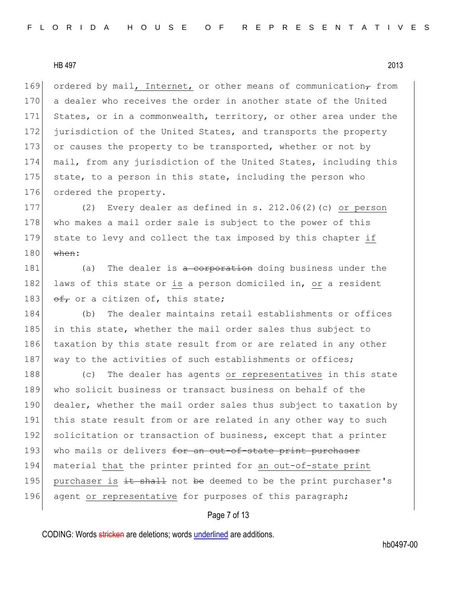169 ordered by mail, Internet, or other means of communication, from 170 a dealer who receives the order in another state of the United 171 States, or in a commonwealth, territory, or other area under the 172 jurisdiction of the United States, and transports the property 173 or causes the property to be transported, whether or not by 174 mail, from any jurisdiction of the United States, including this 175 state, to a person in this state, including the person who 176 ordered the property.

177 (2) Every dealer as defined in s. 212.06(2)(c) or person 178 who makes a mail order sale is subject to the power of this 179 state to levy and collect the tax imposed by this chapter if  $180$  when:

181 (a) The dealer is a corporation doing business under the 182 laws of this state or is a person domiciled in, or a resident 183  $\theta$  of a citizen of, this state;

184 (b) The dealer maintains retail establishments or offices 185 in this state, whether the mail order sales thus subject to 186 taxation by this state result from or are related in any other 187 way to the activities of such establishments or offices;

188 (c) The dealer has agents or representatives in this state 189 who solicit business or transact business on behalf of the 190 dealer, whether the mail order sales thus subject to taxation by 191 this state result from or are related in any other way to such 192 solicitation or transaction of business, except that a printer 193 who mails or delivers for an out-of-state print purchaser 194 material that the printer printed for an out-of-state print 195 purchaser is  $\pm t$  shall not be deemed to be the print purchaser's 196 agent or representative for purposes of this paragraph;

# Page 7 of 13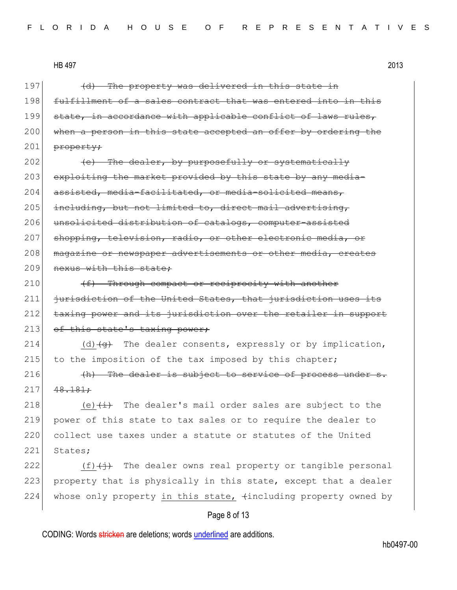197 (d) The property was delivered in this state in 198 fulfillment of a sales contract that was entered into in this 199 state, in accordance with applicable conflict of laws rules, 200 when a person in this state accepted an offer by ordering the  $201$  property;

 $202$  (e) The dealer, by purposefully or systematically 203 exploiting the market provided by this state by any media-204 assisted, media-facilitated, or media-solicited means, 205 including, but not limited to, direct mail advertising, 206 unsolicited distribution of catalogs, computer-assisted 207 shopping, television, radio, or other electronic media, or 208 | magazine or newspaper advertisements or other media, creates 209 nexus with this state;

210  $(f)$  Through compact or reciprocity with another  $211$  jurisdiction of the United States, that jurisdiction uses its 212 taxing power and its jurisdiction over the retailer in support 213 of this state's taxing power;

214 (d)  $\left( \theta \right)$  The dealer consents, expressly or by implication, 215 to the imposition of the tax imposed by this chapter;

 $216$  (h) The dealer is subject to service of process under s.  $217$   $48.181$ ;

218 (e) $\leftarrow$  The dealer's mail order sales are subject to the 219 power of this state to tax sales or to require the dealer to 220 collect use taxes under a statute or statutes of the United 221 States;

222  $(f)$  (f)  $\leftrightarrow$  The dealer owns real property or tangible personal 223 property that is physically in this state, except that a dealer 224 whose only property in this state,  $\frac{1}{100}$  whose only property owned by

# Page 8 of 13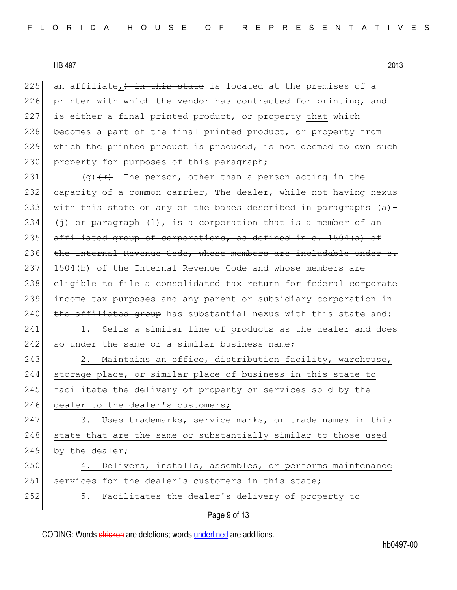225 an affiliate,  $\frac{1}{2}$  in this state is located at the premises of a 226 printer with which the vendor has contracted for printing, and 227 is  $e$ ither a final printed product,  $e$ r property that which 228 becomes a part of the final printed product, or property from 229 which the printed product is produced, is not deemed to own such 230 property for purposes of this paragraph;

231 (g)  $(k)$  The person, other than a person acting in the 232 capacity of a common carrier, The dealer, while not having nexus 233 with this state on any of the bases described in paragraphs  $(a)$  -234  $\left($  +  $\right)$  or paragraph  $\left($   $\right)$ , is a corporation that is a member of an 235 affiliated group of corporations, as defined in s.  $1504(a)$  of 236 the Internal Revenue Code, whose members are includable under s. 237 1504(b) of the Internal Revenue Code and whose members are 238 eligible to file a consolidated tax return for federal corporate 239 income tax purposes and any parent or subsidiary corporation in  $240$  the affiliated group has substantial nexus with this state and:

241 1. Sells a similar line of products as the dealer and does 242 so under the same or a similar business name;

243 243 2. Maintains an office, distribution facility, warehouse, 244 storage place, or similar place of business in this state to 245 facilitate the delivery of property or services sold by the 246 dealer to the dealer's customers;

247 3. Uses trademarks, service marks, or trade names in this 248 state that are the same or substantially similar to those used 249 by the dealer;

# 250 4. Delivers, installs, assembles, or performs maintenance 251 services for the dealer's customers in this state; 252 5. Facilitates the dealer's delivery of property to

Page 9 of 13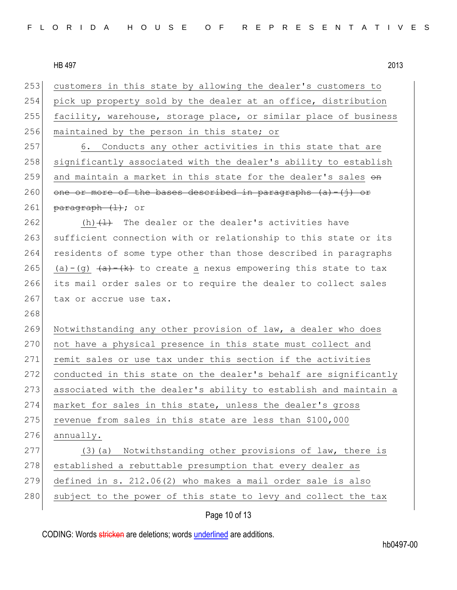253 customers in this state by allowing the dealer's customers to 254 pick up property sold by the dealer at an office, distribution 255 facility, warehouse, storage place, or similar place of business 256 maintained by the person in this state; or 257 6. Conducts any other activities in this state that are 258 significantly associated with the dealer's ability to establish 259 and maintain a market in this state for the dealer's sales  $\Theta$ n 260 one or more of the bases described in paragraphs  $(a) - (i)$  or 261 paragraph  $(1)$ ; or 262  $(h)$   $\left(\frac{1}{h}\right)$  The dealer or the dealer's activities have 263 sufficient connection with or relationship to this state or its 264 residents of some type other than those described in paragraphs 265 (a)-(g)  $\frac{a}{b}$  (a)  $\frac{a}{c}$  (a)  $\frac{a}{c}$  to create a nexus empowering this state to tax 266 its mail order sales or to require the dealer to collect sales 267 tax or accrue use tax. 268 269 Notwithstanding any other provision of law, a dealer who does 270 not have a physical presence in this state must collect and 271 remit sales or use tax under this section if the activities 272 conducted in this state on the dealer's behalf are significantly 273 associated with the dealer's ability to establish and maintain a 274 market for sales in this state, unless the dealer's gross 275 revenue from sales in this state are less than  $$100,000$  $276$  annually. 277 (3) (a) Notwithstanding other provisions of law, there is 278 established a rebuttable presumption that every dealer as 279 defined in s. 212.06(2) who makes a mail order sale is also 280 subject to the power of this state to levy and collect the tax

# Page 10 of 13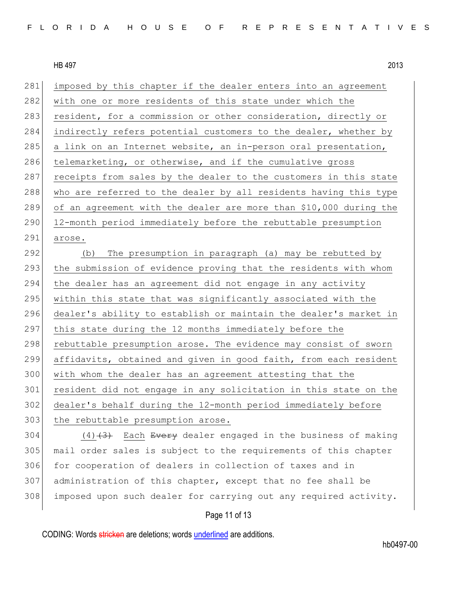281 imposed by this chapter if the dealer enters into an agreement 282 with one or more residents of this state under which the 283 resident, for a commission or other consideration, directly or 284 indirectly refers potential customers to the dealer, whether by 285 a link on an Internet website, an in-person oral presentation, 286 telemarketing, or otherwise, and if the cumulative gross 287 receipts from sales by the dealer to the customers in this state 288 who are referred to the dealer by all residents having this type 289 of an agreement with the dealer are more than \$10,000 during the 290 12-month period immediately before the rebuttable presumption 291 arose. 292 (b) The presumption in paragraph (a) may be rebutted by 293 the submission of evidence proving that the residents with whom 294 the dealer has an agreement did not engage in any activity 295 | within this state that was significantly associated with the 296 dealer's ability to establish or maintain the dealer's market in 297 this state during the 12 months immediately before the 298 rebuttable presumption arose. The evidence may consist of sworn 299 affidavits, obtained and given in good faith, from each resident 300 with whom the dealer has an agreement attesting that the 301 resident did not engage in any solicitation in this state on the 302 dealer's behalf during the 12-month period immediately before 303 the rebuttable presumption arose. 304 (4)<del>(3)</del> Each Every dealer engaged in the business of making 305 mail order sales is subject to the requirements of this chapter

306 for cooperation of dealers in collection of taxes and in 307 administration of this chapter, except that no fee shall be 308 imposed upon such dealer for carrying out any required activity.

## Page 11 of 13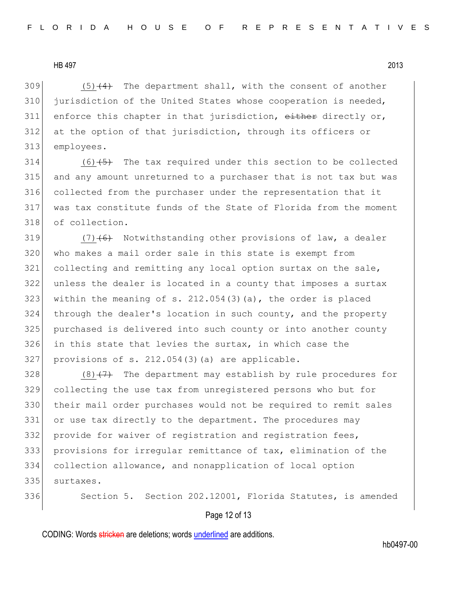$(5)$   $(4)$  The department shall, with the consent of another 310 jurisdiction of the United States whose cooperation is needed, enforce this chapter in that jurisdiction, either directly or, at the option of that jurisdiction, through its officers or employees.

 (6)<del>(5)</del> The tax required under this section to be collected and any amount unreturned to a purchaser that is not tax but was collected from the purchaser under the representation that it was tax constitute funds of the State of Florida from the moment of collection.

 $(7)(6)$  Notwithstanding other provisions of law, a dealer who makes a mail order sale in this state is exempt from collecting and remitting any local option surtax on the sale, unless the dealer is located in a county that imposes a surtax 323 within the meaning of s.  $212.054(3)(a)$ , the order is placed through the dealer's location in such county, and the property 325 | purchased is delivered into such county or into another county in this state that levies the surtax, in which case the provisions of s. 212.054(3)(a) are applicable.

 $(8)$   $(7)$  The department may establish by rule procedures for collecting the use tax from unregistered persons who but for their mail order purchases would not be required to remit sales or use tax directly to the department. The procedures may 332 provide for waiver of registration and registration fees, provisions for irregular remittance of tax, elimination of the collection allowance, and nonapplication of local option surtaxes.

336 Section 5. Section 202.12001, Florida Statutes, is amended

## Page 12 of 13

CODING: Words stricken are deletions; words underlined are additions.